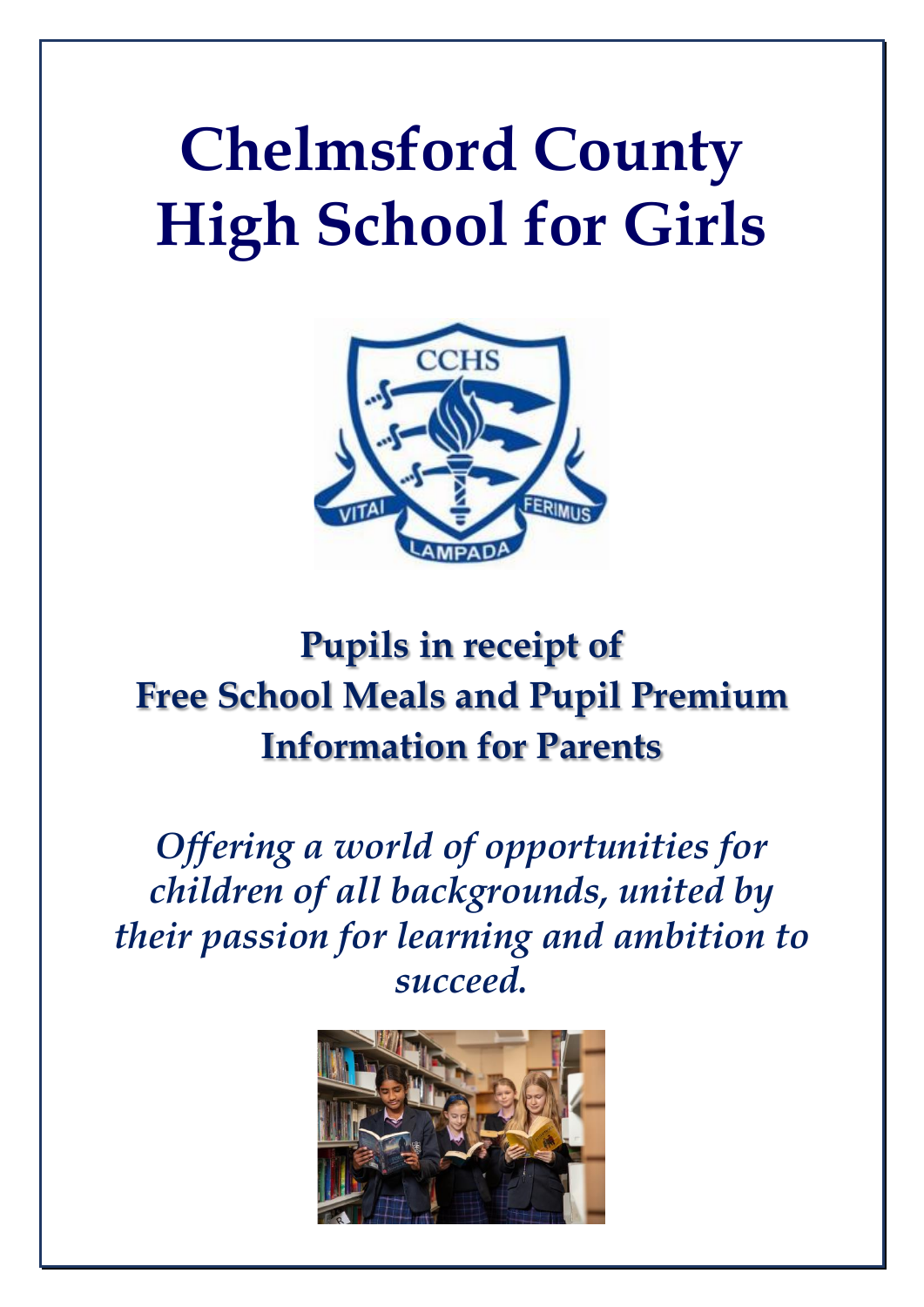# **Chelmsford County High School for Girls**



# **Pupils in receipt of Free School Meals and Pupil Premium Information for Parents**

*Offering a world of opportunities for children of all backgrounds, united by their passion for learning and ambition to succeed.*

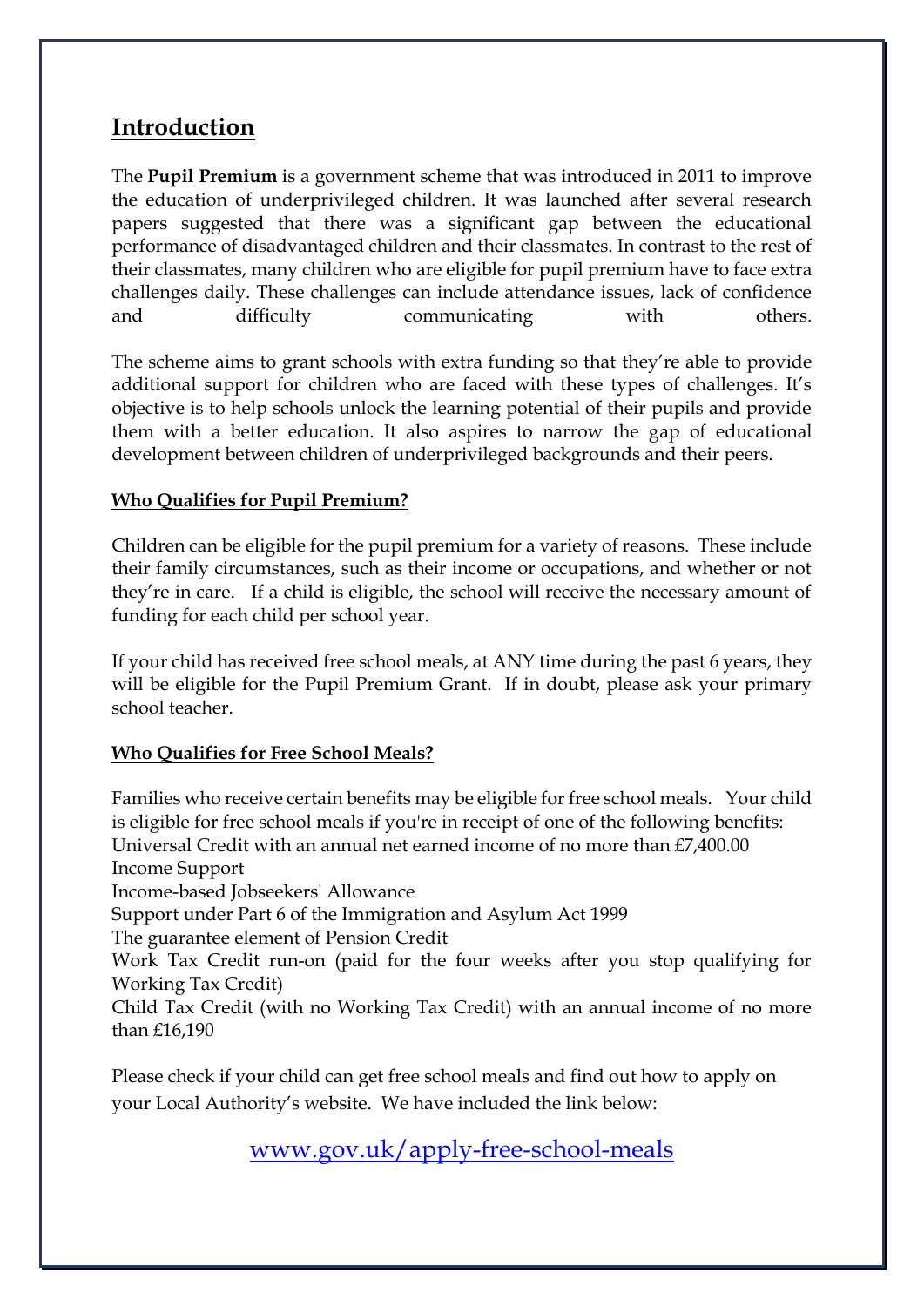#### **Introduction**

The **Pupil Premium** is a government scheme that was introduced in 2011 to improve the education of underprivileged children. It was launched after several research papers suggested that there was a significant gap between the educational performance of disadvantaged children and their classmates. In contrast to the rest of their classmates, many children who are eligible for pupil premium have to face extra challenges daily. These challenges can include attendance issues, lack of confidence and difficulty communicating with others.

The scheme aims to grant schools with extra funding so that they're able to provide additional support for children who are faced with these types of challenges. It's objective is to help schools unlock the learning potential of their pupils and provide them with a better education. It also aspires to narrow the gap of educational development between children of underprivileged backgrounds and their peers.

#### **Who Qualifies for Pupil Premium?**

Children can be eligible for the pupil premium for a variety of reasons. These include their family circumstances, such as their income or occupations, and whether or not they're in care. If a child is eligible, the school will receive the necessary amount of funding for each child per school year.

If your child has received free school meals, at ANY time during the past 6 years, they will be eligible for the Pupil Premium Grant. If in doubt, please ask your primary school teacher.

#### **Who Qualifies for Free School Meals?**

Families who receive certain benefits may be eligible for free school meals. Your child is eligible for free school meals if you're in receipt of one of the following benefits: Universal Credit with an annual net earned income of no more than £7,400.00 Income Support Income-based Jobseekers' Allowance Support under Part 6 of the Immigration and Asylum Act 1999 The guarantee element of Pension Credit Work Tax Credit run-on (paid for the four weeks after you stop qualifying for Working Tax Credit) Child Tax Credit (with no Working Tax Credit) with an annual income of no more than £16,190

Please check if your child can get free school meals and find out how to apply on your Local Authority's website. We have included the link below:

[www.gov.uk/apply-free-school-meals](http://www.gov.uk/apply-free-school-meals)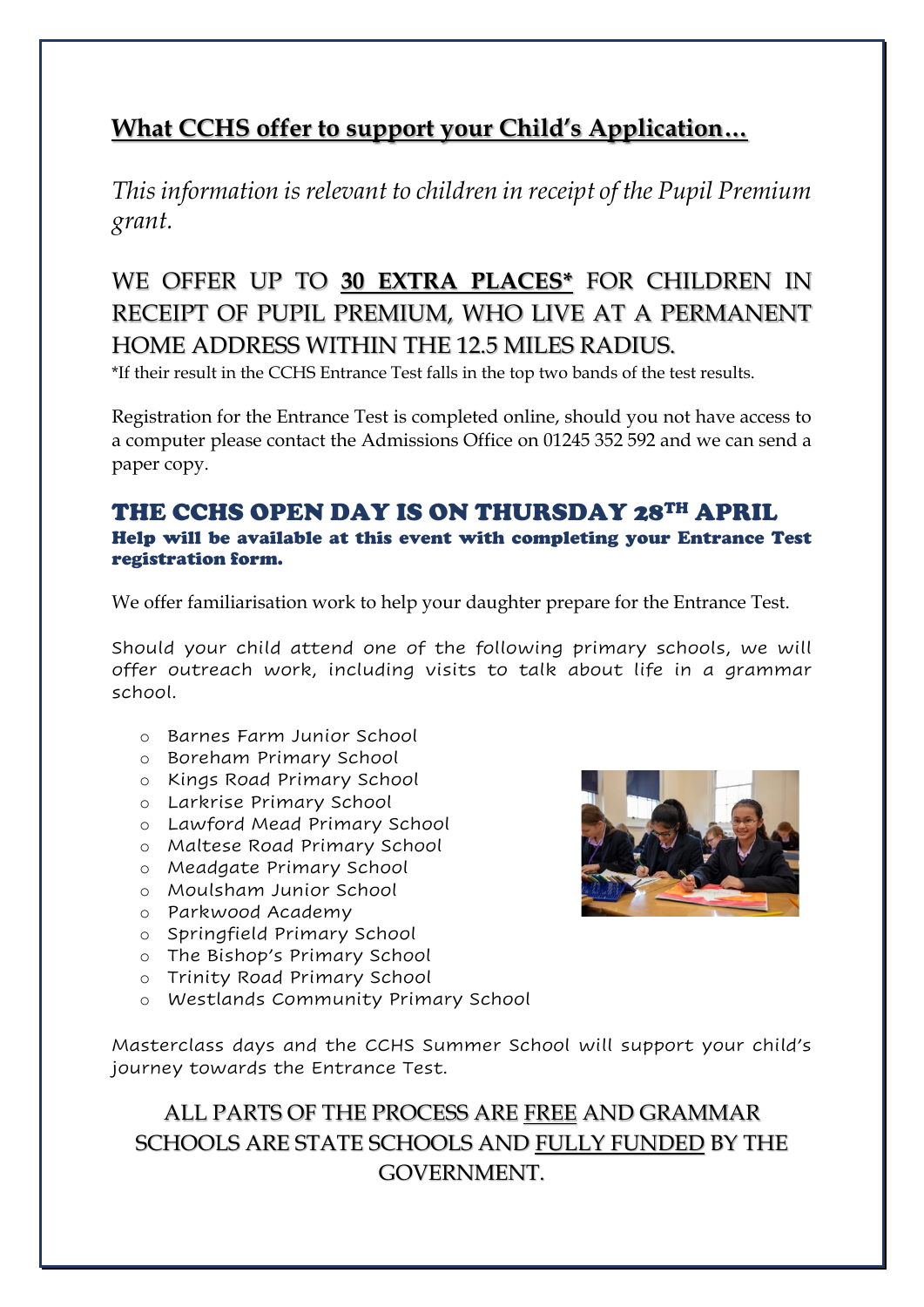## **What CCHS offer to support your Child's Application…**

*This information is relevant to children in receipt of the Pupil Premium grant.*

# WE OFFER UP TO **30 EXTRA PLACES\*** FOR CHILDREN IN RECEIPT OF PUPIL PREMIUM, WHO LIVE AT A PERMANENT HOME ADDRESS WITHIN THE 12.5 MILES RADIUS.

\*If their result in the CCHS Entrance Test falls in the top two bands of the test results.

Registration for the Entrance Test is completed online, should you not have access to a computer please contact the Admissions Office on 01245 352 592 and we can send a paper copy.

#### THE CCHS OPEN DAY IS ON THURSDAY 28TH APRIL Help will be available at this event with completing your Entrance Test registration form.

We offer familiarisation work to help your daughter prepare for the Entrance Test.

Should your child attend one of the following primary schools, we will offer outreach work, including visits to talk about life in a grammar school.

- o Barnes Farm Junior School
- o Boreham Primary School
- o Kings Road Primary School
- o Larkrise Primary School
- o Lawford Mead Primary School
- o Maltese Road Primary School
- o Meadgate Primary School
- o Moulsham Junior School
- o Parkwood Academy
- o Springfield Primary School
- o The Bishop's Primary School
- o Trinity Road Primary School
- o Westlands Community Primary School

Masterclass days and the CCHS Summer School will support your child's journey towards the Entrance Test.

ALL PARTS OF THE PROCESS ARE FREE AND GRAMMAR SCHOOLS ARE STATE SCHOOLS AND FULLY FUNDED BY THE GOVERNMENT.